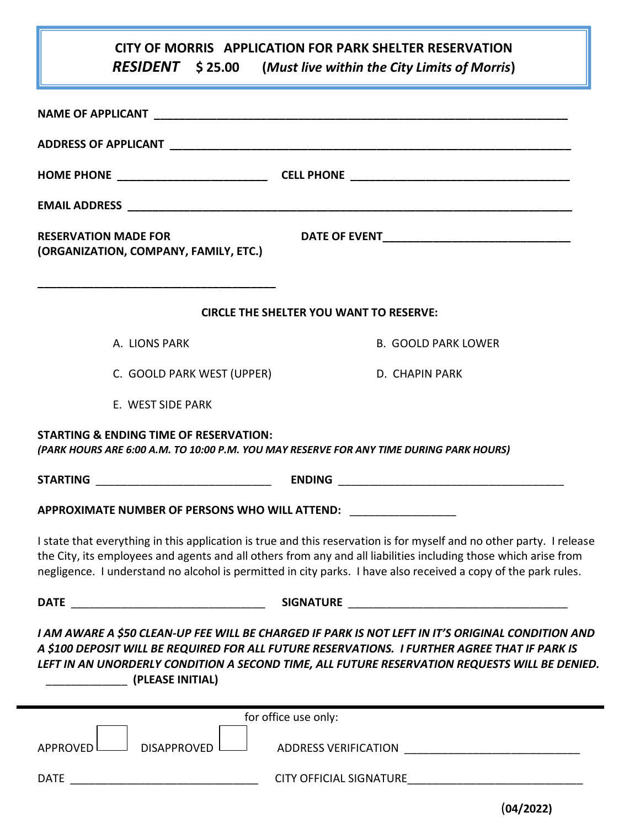| <b>CITY OF MORRIS APPLICATION FOR PARK SHELTER RESERVATION</b> |
|----------------------------------------------------------------|
|                                                                |

| <i>RESIDENT</i> \$25.00<br>/ (Must live within the City Limits of Morris) |  |
|---------------------------------------------------------------------------|--|
|---------------------------------------------------------------------------|--|

| <b>RESERVATION MADE FOR</b><br>(ORGANIZATION, COMPANY, FAMILY, ETC.)                                                                         |                                                                                                                                                                                                                                                                                                                                                           |
|----------------------------------------------------------------------------------------------------------------------------------------------|-----------------------------------------------------------------------------------------------------------------------------------------------------------------------------------------------------------------------------------------------------------------------------------------------------------------------------------------------------------|
|                                                                                                                                              | <b>CIRCLE THE SHELTER YOU WANT TO RESERVE:</b>                                                                                                                                                                                                                                                                                                            |
| A. LIONS PARK                                                                                                                                | <b>B. GOOLD PARK LOWER</b>                                                                                                                                                                                                                                                                                                                                |
| C. GOOLD PARK WEST (UPPER)                                                                                                                   | D. CHAPIN PARK                                                                                                                                                                                                                                                                                                                                            |
| E. WEST SIDE PARK                                                                                                                            |                                                                                                                                                                                                                                                                                                                                                           |
| <b>STARTING &amp; ENDING TIME OF RESERVATION:</b><br>(PARK HOURS ARE 6:00 A.M. TO 10:00 P.M. YOU MAY RESERVE FOR ANY TIME DURING PARK HOURS) |                                                                                                                                                                                                                                                                                                                                                           |
|                                                                                                                                              |                                                                                                                                                                                                                                                                                                                                                           |
| APPROXIMATE NUMBER OF PERSONS WHO WILL ATTEND: __________________                                                                            |                                                                                                                                                                                                                                                                                                                                                           |
|                                                                                                                                              | I state that everything in this application is true and this reservation is for myself and no other party. I release<br>the City, its employees and agents and all others from any and all liabilities including those which arise from<br>negligence. I understand no alcohol is permitted in city parks. I have also received a copy of the park rules. |
|                                                                                                                                              |                                                                                                                                                                                                                                                                                                                                                           |
| (PLEASE INITIAL)                                                                                                                             | I AM AWARE A \$50 CLEAN-UP FEE WILL BE CHARGED IF PARK IS NOT LEFT IN IT'S ORIGINAL CONDITION AND<br>A \$100 DEPOSIT WILL BE REQUIRED FOR ALL FUTURE RESERVATIONS. I FURTHER AGREE THAT IF PARK IS<br>LEFT IN AN UNORDERLY CONDITION A SECOND TIME, ALL FUTURE RESERVATION REQUESTS WILL BE DENIED.                                                       |
|                                                                                                                                              | for office use only:                                                                                                                                                                                                                                                                                                                                      |
| DISAPPROVED<br><b>APPROVED</b>                                                                                                               | ADDRESS VERIFICATION ADDRESS VERIFICATION                                                                                                                                                                                                                                                                                                                 |
| <b>DATE</b>                                                                                                                                  | CITY OFFICIAL SIGNATURE                                                                                                                                                                                                                                                                                                                                   |

(**04/2022)**